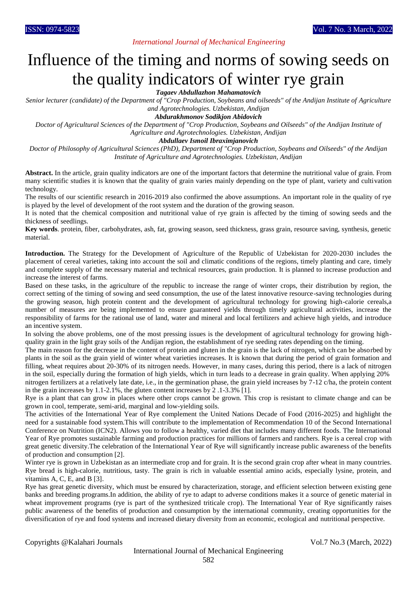# *International Journal of Mechanical Engineering*

# Influence of the timing and norms of sowing seeds on the quality indicators of winter rye grain

*Tagaev Abdullazhon Mahamatovich*

*Senior lecturer (candidate) of the Department of "Crop Production, Soybeans and oilseeds" of the Andijan Institute of Agriculture and Agrotechnologies. Uzbekistan, Andijan*

*Abdurakhmonov Sodikjon Abidovich*

*Doctor of Agricultural Sciences of the Department of "Crop Production, Soybeans and Oilseeds" of the Andijan Institute of Agriculture and Agrotechnologies. Uzbekistan, Andijan*

*Abdullaev Ismoil Ibraximjanovich*

*Doctor of Philosophy of Agricultural Sciences (PhD), Department of "Crop Production, Soybeans and Oilseeds" of the Andijan Institute of Agriculture and Agrotechnologies. Uzbekistan, Andijan*

**Abstract.** In the article, grain quality indicators are one of the important factors that determine the nutritional value of grain. From many scientific studies it is known that the quality of grain varies mainly depending on the type of plant, variety and cultivation technology.

The results of our scientific research in 2016-2019 also confirmed the above assumptions. An important role in the quality of rye is played by the level of development of the root system and the duration of the growing season.

It is noted that the chemical composition and nutritional value of rye grain is affected by the timing of sowing seeds and the thickness of seedlings.

**Key words**. protein, fiber, carbohydrates, ash, fat, growing season, seed thickness, grass grain, resource saving, synthesis, genetic material.

**Introduction.** The Strategy for the Development of Agriculture of the Republic of Uzbekistan for 2020-2030 includes the placement of cereal varieties, taking into account the soil and climatic conditions of the regions, timely planting and care, timely and complete supply of the necessary material and technical resources, grain production. It is planned to increase production and increase the interest of farms.

Based on these tasks, in the agriculture of the republic to increase the range of winter crops, their distribution by region, the correct setting of the timing of sowing and seed consumption, the use of the latest innovative resource-saving technologies during the growing season, high protein content and the development of agricultural technology for growing high-calorie cereals,a number of measures are being implemented to ensure guaranteed yields through timely agricultural activities, increase the responsibility of farms for the rational use of land, water and mineral and local fertilizers and achieve high yields, and introduce an incentive system.

In solving the above problems, one of the most pressing issues is the development of agricultural technology for growing highquality grain in the light gray soils of the Andijan region, the establishment of rye seeding rates depending on the timing.

The main reason for the decrease in the content of protein and gluten in the grain is the lack of nitrogen, which can be absorbed by plants in the soil as the grain yield of winter wheat varieties increases. It is known that during the period of grain formation and filling, wheat requires about 20-30% of its nitrogen needs. However, in many cases, during this period, there is a lack of nitrogen in the soil, especially during the formation of high yields, which in turn leads to a decrease in grain quality. When applying 20% nitrogen fertilizers at a relatively late date, i.e., in the germination phase, the grain yield increases by 7-12 c/ha, the protein content

in the grain increases by 1.1-2.1%, the gluten content increases by 2 .1-3.3% [1].

Rye is a plant that can grow in places where other crops cannot be grown. This crop is resistant to climate change and can be grown in cool, temperate, semi-arid, marginal and low-yielding soils.

The activities of the International Year of Rye complement the United Nations Decade of Food (2016-2025) and highlight the need for a sustainable food system.This will contribute to the implementation of Recommendation 10 of the Second International Conference on Nutrition (ICN2). Allows you to follow a healthy, varied diet that includes many different foods. The International Year of Rye promotes sustainable farming and production practices for millions of farmers and ranchers. Rye is a cereal crop with great genetic diversity.The celebration of the International Year of Rye will significantly increase public awareness of the benefits of production and consumption [2].

Winter rye is grown in Uzbekistan as an intermediate crop and for grain. It is the second grain crop after wheat in many countries. Rye bread is high-calorie, nutritious, tasty. The grain is rich in valuable essential amino acids, especially lysine, protein, and vitamins A, C, E, and B [3].

Rye has great genetic diversity, which must be ensured by characterization, storage, and efficient selection between existing gene banks and breeding programs.In addition, the ability of rye to adapt to adverse conditions makes it a source of genetic material in wheat improvement programs (rye is part of the synthesized triticale crop). The International Year of Rye significantly raises public awareness of the benefits of production and consumption by the international community, creating opportunities for the diversification of rye and food systems and increased dietary diversity from an economic, ecological and nutritional perspective.

Copyrights @Kalahari Journals Vol.7 No.3 (March, 2022)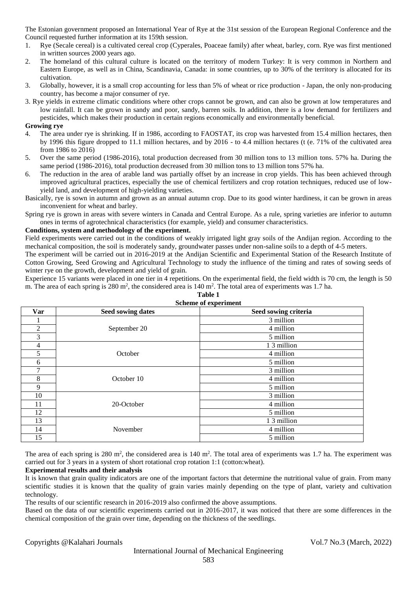The Estonian government proposed an International Year of Rye at the 31st session of the European Regional Conference and the Council requested further information at its 159th session.

- 1. Rye (Secale cereal) is a cultivated cereal crop (Cyperales, Poaceae family) after wheat, barley, corn. Rye was first mentioned in written sources 2000 years ago.
- 2. The homeland of this cultural culture is located on the territory of modern Turkey: It is very common in Northern and Eastern Europe, as well as in China, Scandinavia, Canada: in some countries, up to 30% of the territory is allocated for its cultivation.
- 3. Globally, however, it is a small crop accounting for less than 5% of wheat or rice production Japan, the only non-producing country, has become a major consumer of rye.
- 3. Rye yields in extreme climatic conditions where other crops cannot be grown, and can also be grown at low temperatures and low rainfall. It can be grown in sandy and poor, sandy, barren soils. In addition, there is a low demand for fertilizers and pesticides, which makes their production in certain regions economically and environmentally beneficial.

## **Growing rye**

- 4. The area under rye is shrinking. If in 1986, according to FAOSTAT, its crop was harvested from 15.4 million hectares, then by 1996 this figure dropped to 11.1 million hectares, and by 2016 - to 4.4 million hectares (t (e. 71% of the cultivated area from 1986 to 2016)
- 5. Over the same period (1986-2016), total production decreased from 30 million tons to 13 million tons. 57% ha. During the same period (1986-2016), total production decreased from 30 million tons to 13 million tons 57% ha.
- 6. The reduction in the area of arable land was partially offset by an increase in crop yields. This has been achieved through improved agricultural practices, especially the use of chemical fertilizers and crop rotation techniques, reduced use of lowyield land, and development of high-yielding varieties.
- Basically, rye is sown in autumn and grown as an annual autumn crop. Due to its good winter hardiness, it can be grown in areas inconvenient for wheat and barley.
- Spring rye is grown in areas with severe winters in Canada and Central Europe. As a rule, spring varieties are inferior to autumn ones in terms of agrotechnical characteristics (for example, yield) and consumer characteristics.

### **Conditions, system and methodology of the experiment.**

Field experiments were carried out in the conditions of weakly irrigated light gray soils of the Andijan region. According to the mechanical composition, the soil is moderately sandy, groundwater passes under non-saline soils to a depth of 4-5 meters.

The experiment will be carried out in 2016-2019 at the Andijan Scientific and Experimental Station of the Research Institute of Cotton Growing, Seed Growing and Agricultural Technology to study the influence of the timing and rates of sowing seeds of winter rye on the growth, development and yield of grain.

Experience 15 variants were placed in one tier in 4 repetitions. On the experimental field, the field width is 70 cm, the length is 50 m. The area of each spring is 280  $m^2$ , the considered area is 140  $m^2$ . The total area of experiments was 1.7 ha.

| <b>SUIGHIG OF CAPELIMENT</b> |                          |                      |
|------------------------------|--------------------------|----------------------|
| Var                          | <b>Seed sowing dates</b> | Seed sowing criteria |
|                              |                          | 3 million            |
| $\overline{2}$               | September 20             | 4 million            |
| 3                            |                          | 5 million            |
| 4                            |                          | 1 3 million          |
| 5                            | October                  | 4 million            |
| 6                            |                          | 5 million            |
|                              | October 10               | 3 million            |
| 8                            |                          | 4 million            |
| 9                            |                          | 5 million            |
| 10                           |                          | 3 million            |
| 11                           | 20-October               | 4 million            |
| 12                           |                          | 5 million            |
| 13                           |                          | 1 3 million          |
| 14                           | November                 | 4 million            |
| 15                           |                          | 5 million            |

**Table 1 Scheme of experiment**

The area of each spring is  $280 \text{ m}^2$ , the considered area is  $140 \text{ m}^2$ . The total area of experiments was 1.7 ha. The experiment was carried out for 3 years in a system of short rotational crop rotation 1:1 (cotton:wheat).

#### **Experimental results and their analysis**

It is known that grain quality indicators are one of the important factors that determine the nutritional value of grain. From many scientific studies it is known that the quality of grain varies mainly depending on the type of plant, variety and cultivation technology.

The results of our scientific research in 2016-2019 also confirmed the above assumptions.

Based on the data of our scientific experiments carried out in 2016-2017, it was noticed that there are some differences in the chemical composition of the grain over time, depending on the thickness of the seedlings.

Copyrights @Kalahari Journals Vol.7 No.3 (March, 2022)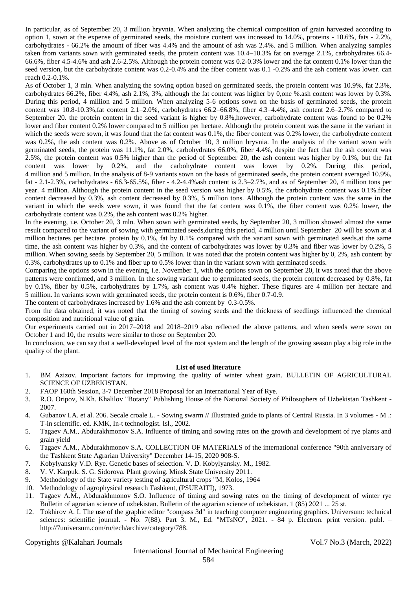In particular, as of September 20, 3 million hryvnia. When analyzing the chemical composition of grain harvested according to option 1, sown at the expense of germinated seeds, the moisture content was increased to 14.0%, proteins - 10.6%, fats - 2.2%, carbohydrates - 66.2% the amount of fiber was 4.4% and the amount of ash was 2.4%. and 5 million. When analyzing samples taken from variants sown with germinated seeds, the protein content was 10.4–10.3% fat on average 2.1%, carbohydrates 66.4- 66.6%, fiber 4.5-4.6% and ash 2.6-2.5%. Although the protein content was 0.2-0.3% lower and the fat content 0.1% lower than the seed version, but the carbohydrate content was 0.2-0.4% and the fiber content was 0.1 -0.2% and the ash content was lower. can reach 0.2-0.1%.

As of October 1, 3 mln. When analyzing the sowing option based on germinated seeds, the protein content was 10.9%, fat 2.3%, carbohydrates 66.2%, fiber 4.4%, ash 2.1%, 3%, although the fat content was higher by 0,one %.ash content was lower by 0.3%. During this period, 4 million and 5 million. When analyzing 5-6 options sown on the basis of germinated seeds, the protein content was  $10.8-10.3\%$ , fat content  $2.1-2.0\%$ , carbohydrates  $66.2-66.8\%$ , fiber  $4.3-4.4\%$ , ash content  $2.6-2.7\%$  compared to September 20. the protein content in the seed variant is higher by 0.8%,however, carbohydrate content was found to be 0.2% lower and fiber content 0.2% lower compared to 5 million per hectare. Although the protein content was the same in the variant in which the seeds were sown, it was found that the fat content was 0.1%, the fiber content was 0.2% lower, the carbohydrate content was 0.2%, the ash content was 0.2%. Above as of October 10, 3 million hryvnia. In the analysis of the variant sown with germinated seeds, the protein was 11.1%, fat 2.0%, carbohydrates 66.0%, fiber 4.4%, despite the fact that the ash content was 2.5%, the protein content was 0.5% higher than the period of September 20, the ash content was higher by 0.1%, but the fat content was lower by 0.2%, and the carbohydrate content was lower by 0.2%. During this period, 4 million and 5 million. In the analysis of 8-9 variants sown on the basis of germinated seeds, the protein content averaged 10.9%, fat - 2.1-2.3%, carbohydrates - 66.3-65.5%, fiber - 4.2-4.4%ash content is 2.3–2.7%, and as of September 20, 4 million tons per year. 4 million. Although the protein content in the seed version was higher by 0.5%, the carbohydrate content was 0.1%.fiber content decreased by 0.3%, ash content decreased by 0.3%, 5 million tons. Although the protein content was the same in the variant in which the seeds were sown, it was found that the fat content was 0.1%, the fiber content was 0.2% lower, the carbohydrate content was 0.2%, the ash content was 0.2% higher.

In the evening, i.e. October 20, 3 mln. When sown with germinated seeds, by September 20, 3 million showed almost the same result compared to the variant of sowing with germinated seeds,during this period, 4 million until September 20 will be sown at 4 million hectares per hectare. protein by 0.1%, fat by 0.1% compared with the variant sown with germinated seeds.at the same time, the ash content was higher by 0.3%, and the content of carbohydrates was lower by 0.3% and fiber was lower by 0.2%, 5 million. When sowing seeds by September 20, 5 million. It was noted that the protein content was higher by 0, 2%, ash content by 0.3%, carbohydrates up to 0.1% and fiber up to 0.5% lower than in the variant sown with germinated seeds.

Comparing the options sown in the evening, i.e. November 1, with the options sown on September 20, it was noted that the above patterns were confirmed, and 3 million. In the sowing variant due to germinated seeds, the protein content decreased by 0.8%, fat by 0.1%, fiber by 0.5%, carbohydrates by 1.7%, ash content was 0.4% higher. These figures are 4 million per hectare and 5 million. In variants sown with germinated seeds, the protein content is 0.6%, fiber 0.7-0.9.

The content of carbohydrates increased by 1.6% and the ash content by 0.3-0.5%.

From the data obtained, it was noted that the timing of sowing seeds and the thickness of seedlings influenced the chemical composition and nutritional value of grain.

Our experiments carried out in 2017–2018 and 2018–2019 also reflected the above patterns, and when seeds were sown on October 1 and 10, the results were similar to those on September 20.

In conclusion, we can say that a well-developed level of the root system and the length of the growing season play a big role in the quality of the plant.

#### **List of used literature**

- 1. BM Azizov. Important factors for improving the quality of winter wheat grain. BULLETIN OF AGRICULTURAL SCIENCE OF UZBEKISTAN.
- 2. FAOP 160th Session, 3-7 December 2018 Proposal for an International Year of Rye.
- 3. R.O. Oripov, N.Kh. Khalilov "Botany" Publishing House of the National Society of Philosophers of Uzbekistan Tashkent 2007.
- 4. Gubanov I.A. et al. 206. Secale croale L. Sowing swarm // Illustrated guide to plants of Central Russia. In 3 volumes M .: T-in scientific. ed. KMK, In-t technologist. Isl., 2002.
- 5. Tagaev A.M., Abdurakhmonov S.A. Influence of timing and sowing rates on the growth and development of rye plants and grain yield
- 6. Tagaev A.M., Abdurakhmonov S.A. COLLECTION OF MATERIALS of the international conference "90th anniversary of the Tashkent State Agrarian University" December 14-15, 2020 908-S.
- 7. Kobylyansky V.D. Rye. Genetic bases of selection. V. D. Kobylyansky. M., 1982.
- 8. V. V. Karpuk. S. G. Sidorova. Plant growing. Minsk State University 2011.
- 9. Methodology of the State variety testing of agricultural crops "M, Kolos, 1964
- 10. Methodology of agrophysical research Tashkent, (PSUEAITI), 1973.
- 11. Tagaev A.M., Abdurakhmonov S.O. Influence of timing and sowing rates on the timing of development of winter rye Bulletin of agrarian science of uzbekistan. Bulletin of the agrarian science of uzbekistan. 1 (85) 2021 ... 25 st.
- 12. Tokhirov A. I. The use of the graphic editor "compass 3d" in teaching computer engineering graphics. Universum: technical sciences: scientific journal. - No. 7(88). Part 3. M., Ed. "MTsNO", 2021. - 84 p. Electron. print version. publ. – http://7universum.com/ru/tech/archive/category/788.

Copyrights @Kalahari Journals Vol.7 No.3 (March, 2022)